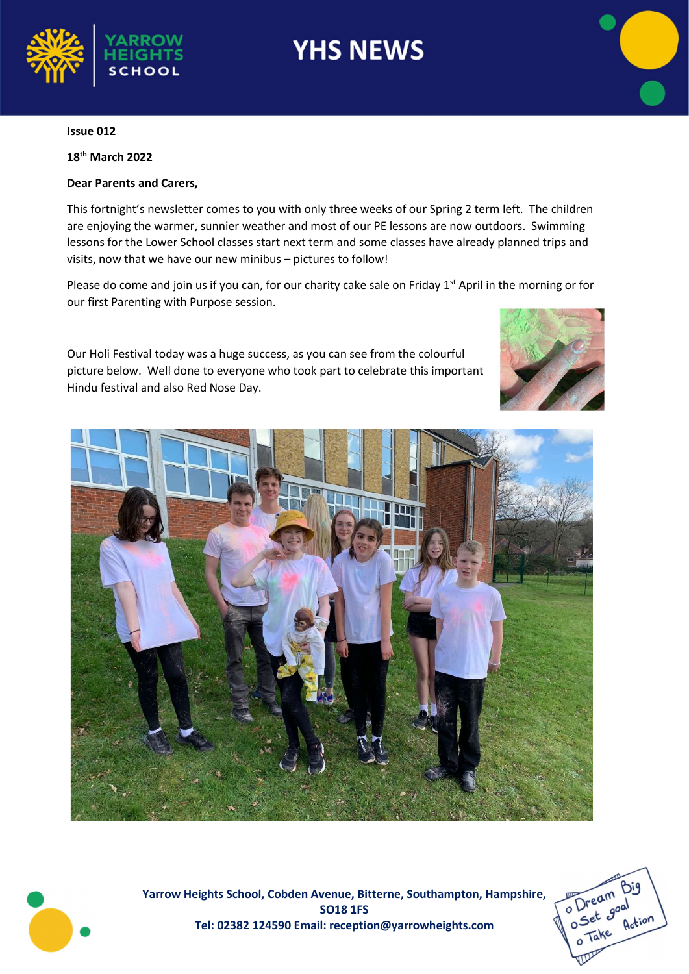



18th March 2022

#### Dear Parents and Carers,

This fortnight's newsletter comes to you with only three weeks of our Spring 2 term left. The children are enjoying the warmer, sunnier weather and most of our PE lessons are now outdoors. Swimming lessons for the Lower School classes start next term and some classes have already planned trips and visits, now that we have our new minibus – pictures to follow!

Please do come and join us if you can, for our charity cake sale on Friday 1<sup>st</sup> April in the morning or for our first Parenting with Purpose session.

Our Holi Festival today was a huge success, as you can see from the colourful picture below. Well done to everyone who took part to celebrate this important Hindu festival and also Red Nose Day.







Yarrow Heights School, Cobden Avenue, Bitterne, Southampton, Hampshire, SO18 1FS Tel: 02382 124590 Email: reception@yarrowheights.com

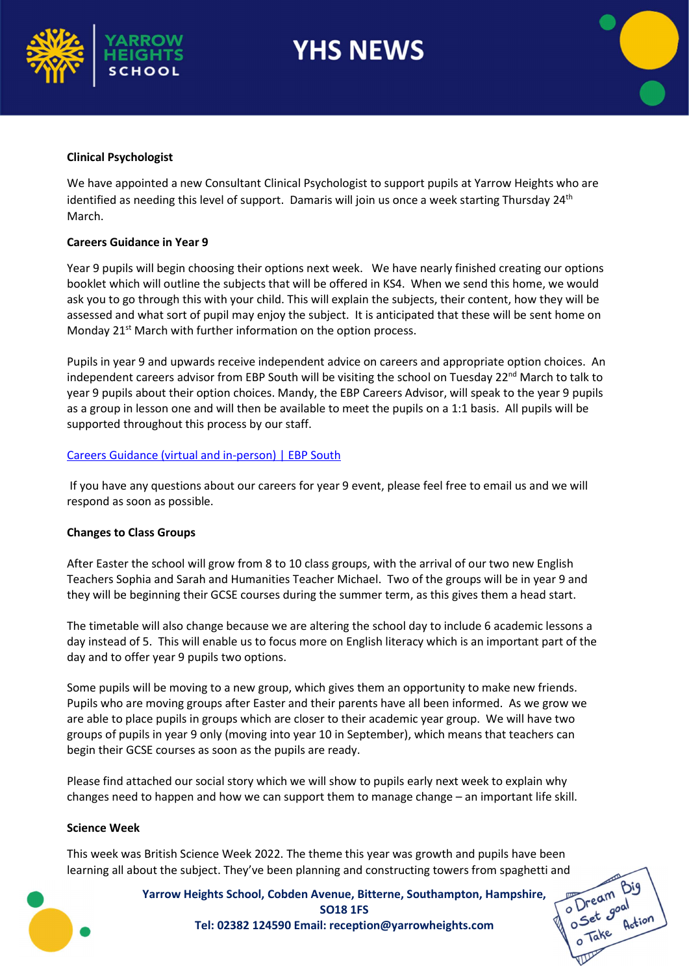



#### Clinical Psychologist

We have appointed a new Consultant Clinical Psychologist to support pupils at Yarrow Heights who are identified as needing this level of support. Damaris will join us once a week starting Thursday 24<sup>th</sup> March.

#### Careers Guidance in Year 9

Year 9 pupils will begin choosing their options next week. We have nearly finished creating our options booklet which will outline the subjects that will be offered in KS4. When we send this home, we would ask you to go through this with your child. This will explain the subjects, their content, how they will be assessed and what sort of pupil may enjoy the subject. It is anticipated that these will be sent home on Monday 21<sup>st</sup> March with further information on the option process.

Pupils in year 9 and upwards receive independent advice on careers and appropriate option choices. An independent careers advisor from EBP South will be visiting the school on Tuesday 22<sup>nd</sup> March to talk to year 9 pupils about their option choices. Mandy, the EBP Careers Advisor, will speak to the year 9 pupils as a group in lesson one and will then be available to meet the pupils on a 1:1 basis. All pupils will be supported throughout this process by our staff.

#### Careers Guidance (virtual and in-person) | EBP South

 If you have any questions about our careers for year 9 event, please feel free to email us and we will respond as soon as possible.

#### Changes to Class Groups

After Easter the school will grow from 8 to 10 class groups, with the arrival of our two new English Teachers Sophia and Sarah and Humanities Teacher Michael. Two of the groups will be in year 9 and they will be beginning their GCSE courses during the summer term, as this gives them a head start.

The timetable will also change because we are altering the school day to include 6 academic lessons a day instead of 5. This will enable us to focus more on English literacy which is an important part of the day and to offer year 9 pupils two options.

Some pupils will be moving to a new group, which gives them an opportunity to make new friends. Pupils who are moving groups after Easter and their parents have all been informed. As we grow we are able to place pupils in groups which are closer to their academic year group. We will have two groups of pupils in year 9 only (moving into year 10 in September), which means that teachers can begin their GCSE courses as soon as the pupils are ready.

Please find attached our social story which we will show to pupils early next week to explain why changes need to happen and how we can support them to manage change – an important life skill.

#### Science Week

This week was British Science Week 2022. The theme this year was growth and pupils have been

Yarrow Heights School, Cobden Avenue, Bitterne, Southampton, Hampshire, SO18 1FS Tel: 02382 124590 Email: reception@yarrowheights.com learning all about the subject. They've been planning and constructing towers from spaghetti and<br>
Yarrow Heights School, Cobden Avenue, Bitterne, Southampton, Hampshire,<br>
SO18 1FS<br>
Tel: 02382 124590 Email: reception@yarrow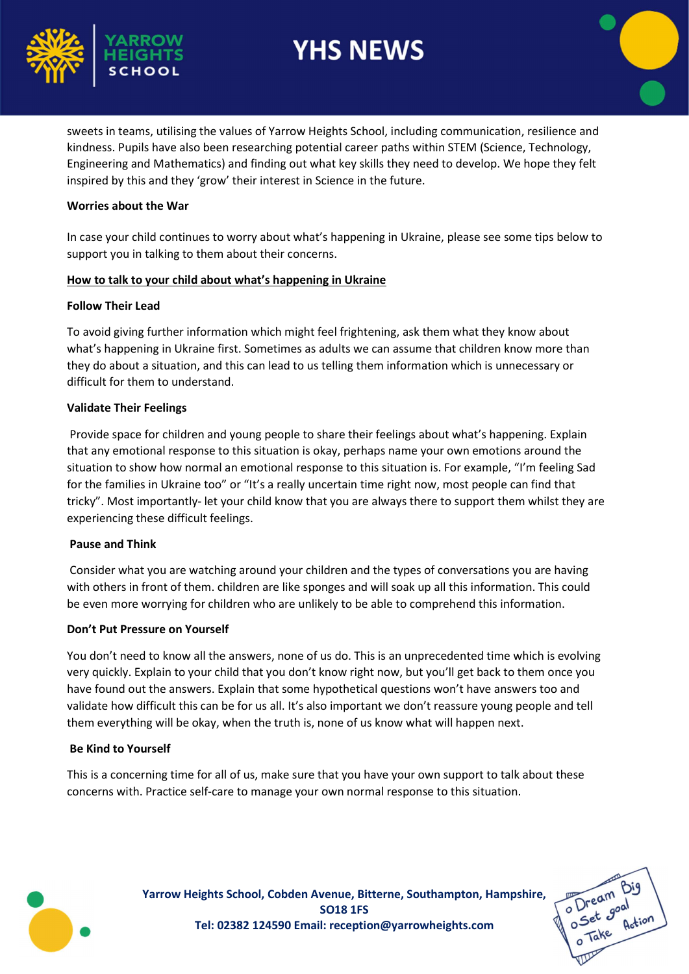



sweets in teams, utilising the values of Yarrow Heights School, including communication, resilience and kindness. Pupils have also been researching potential career paths within STEM (Science, Technology, Engineering and Mathematics) and finding out what key skills they need to develop. We hope they felt inspired by this and they 'grow' their interest in Science in the future.

## Worries about the War

In case your child continues to worry about what's happening in Ukraine, please see some tips below to support you in talking to them about their concerns.

## How to talk to your child about what's happening in Ukraine

#### Follow Their Lead

To avoid giving further information which might feel frightening, ask them what they know about what's happening in Ukraine first. Sometimes as adults we can assume that children know more than they do about a situation, and this can lead to us telling them information which is unnecessary or difficult for them to understand.

## Validate Their Feelings

 Provide space for children and young people to share their feelings about what's happening. Explain that any emotional response to this situation is okay, perhaps name your own emotions around the situation to show how normal an emotional response to this situation is. For example, "I'm feeling Sad for the families in Ukraine too" or "It's a really uncertain time right now, most people can find that tricky". Most importantly- let your child know that you are always there to support them whilst they are experiencing these difficult feelings.

## Pause and Think

 Consider what you are watching around your children and the types of conversations you are having with others in front of them. children are like sponges and will soak up all this information. This could be even more worrying for children who are unlikely to be able to comprehend this information.

## Don't Put Pressure on Yourself

You don't need to know all the answers, none of us do. This is an unprecedented time which is evolving very quickly. Explain to your child that you don't know right now, but you'll get back to them once you have found out the answers. Explain that some hypothetical questions won't have answers too and validate how difficult this can be for us all. It's also important we don't reassure young people and tell them everything will be okay, when the truth is, none of us know what will happen next.

## Be Kind to Yourself

This is a concerning time for all of us, make sure that you have your own support to talk about these concerns with. Practice self-care to manage your own normal response to this situation.